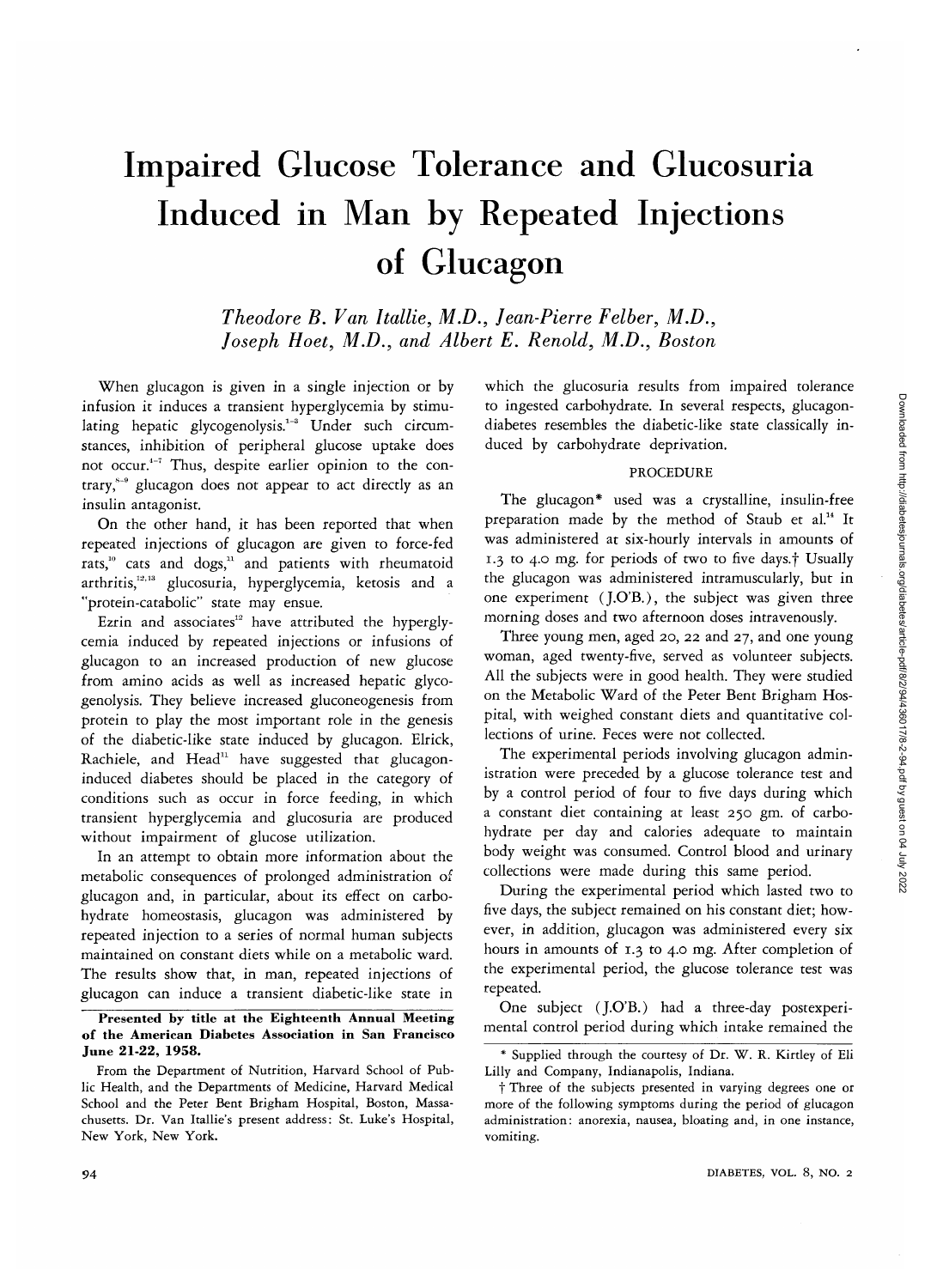# Impaired Glucose Tolerance and Glucosuria Induced in Man by Repeated Injections of Glucagon

*Theodore B. Van Itallie, M.D., Jean-Pierre Felber, M.D., Joseph Hoet, M.D., and Albert E. Renold, M.D., Boston*

When glucagon is given in a single injection or by infusion it induces a transient hyperglycemia by stimulating hepatic glycogenolysis.<sup>1-3</sup> Under such circumstances, inhibition of peripheral glucose uptake does not occur.<sup>4-7</sup> Thus, despite earlier opinion to the contrary,<sup>see</sup> glucagon does not appear to act directly as an insulin antagonist.

On the other hand, it has been reported that when repeated injections of glucagon are given to force-fed rats,<sup>10</sup> cats and dogs,<sup>11</sup> and patients with rheumatoid arthritis,<sup>12,13</sup> glucosuria, hyperglycemia, ketosis and a "protein-catabolic" state may ensue.

Ezrin and associates<sup>12</sup> have attributed the hyperglycemia induced by repeated injections or infusions of glucagon to an increased production of new glucose from amino acids as well as increased hepatic glycogenolysis. They believe increased gluconeogenesis from protein to play the most important role in the genesis of the diabetic-like state induced by glucagon. Elrick,  $R$ achiele, and Head<sup>11</sup> have suggested that glucagoninduced diabetes should be placed in the category of conditions such as occur in force feeding, in which transient hyperglycemia and glucosuria are produced without impairment of glucose utilization.

In an attempt to obtain more information about the metabolic consequences of prolonged administration of glucagon and, in particular, about its effect on carbohydrate homeostasis, glucagon was administered by repeated injection to a series of normal human subjects maintained on constant diets while on a metabolic ward. The results show that, in man, repeated injections of glucagon can induce a transient diabetic-like state in

From the Department of Nutrition, Harvard School of Pub- lic Health, and the Departments of Medicine, Harvard Medical School and the Peter Bent Brigham Hospital, Boston, Massa- chusetts. Dr. Van Itallie's present address: St. Luke's Hospital, New York, New York.

which the glucosuria results from impaired tolerance to ingested carbohydrate. In several respects, glucagondiabetes resembles the diabetic-like state classically induced by carbohydrate deprivation.

### PROCEDURE

The glucagon\* used was a crystalline, insulin-free preparation made by the method of Staub et al.<sup>14</sup> It was administered at six-hourly intervals in amounts of 1.3 to 4.0 mg. for periods of two to five days. $\dagger$  Usually the glucagon was administered intramuscularly, but in one experiment (J.O'B.), the subject was given three morning doses and two afternoon doses intravenously.

Three young men, aged 20, 22 and 27, and one young woman, aged twenty-five, served as volunteer subjects. All the subjects were in good health. They were studied on the Metabolic Ward of the Peter Bent Brigham Hospital, with weighed constant diets and quantitative collections of urine. Feces were not collected.

The experimental periods involving glucagon administration were preceded by a glucose tolerance test and by a control period of four to five days during which a constant diet containing at least 250 gm. of carbohydrate per day and calories adequate to maintain body weight was consumed. Control blood and urinary collections were made during this same period.

During the experimental period which lasted two to five days, the subject remained on his constant diet; however, in addition, glucagon was administered every six hours in amounts of 1.3 to 4.0 mg. After completion of the experimental period, the glucose tolerance test was repeated.

One subject (J.O'B.) had a three-day postexperimental control period during which intake remained the

Presented by title at the Eighteenth Annual Meeting of the American Diabetes Association in San Francisco June 21-22, 1958.

<sup>\*</sup> Supplied through the courtesy of Dr. W. R. Kirtley of Eli Lilly and Company, Indianapolis, Indiana.

t Three of the subjects presented in varying degrees one or more of the following symptoms during the period of glucagon administration: anorexia, nausea, bloating and, in one instance, vomiting.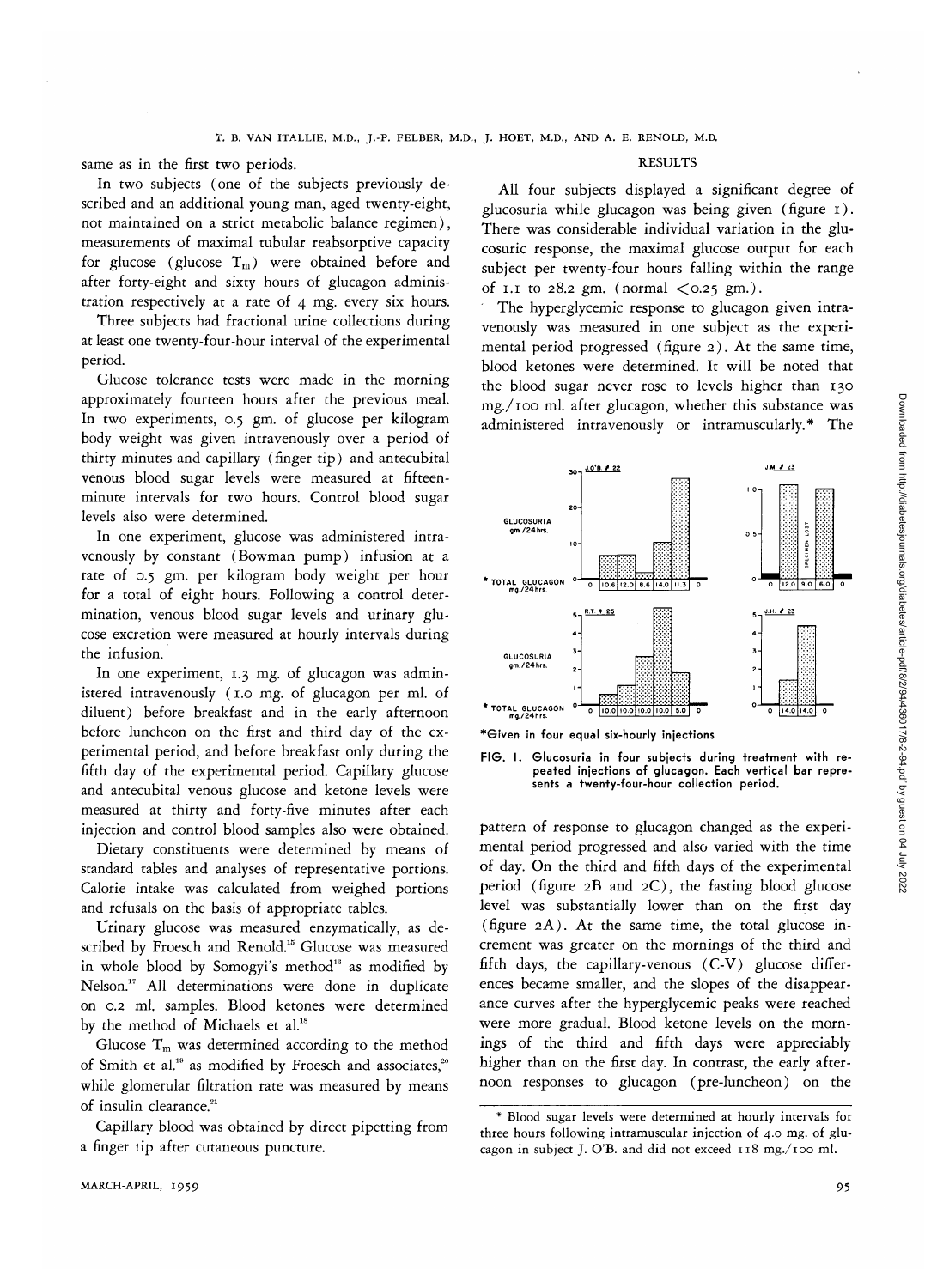Downloaded from http://diabetesjournals.org/diabetes/article-pdf/8/2/94/436017/8-2-94.pdf by guest on 04 July 2022 Downloaded from http://diabetesjournals.org/diabetes/article-pdf/8/2/94/436017/8-2-94.pdf by guest on 04 July 2022

same as in the first two periods.

In two subjects (one of the subjects previously described and an additional young man, aged twenty-eight, not maintained on a strict metabolic balance regimen), measurements of maximal tubular reabsorptive capacity for glucose (glucose  $T_m$ ) were obtained before and after forty-eight and sixty hours of glucagon administration respectively at a rate of 4 mg. every six hours.

Three subjects had fractional urine collections during at least one twenty-four-hour interval of the experimental period.

Glucose tolerance tests were made in the morning approximately fourteen hours after the previous meal. In two experiments, 0.5 gm. of glucose per kilogram body weight was given intravenously over a period of thirty minutes and capillary (finger tip) and antecubital venous blood sugar levels were measured at fifteenminute intervals for two hours. Control blood sugar levels aiso were determined.

In one experiment, glucose was administered intravenously by constant (Bowman pump) infusion at a rate of 0.5 gm. per kilogram body weight per hour for a total of eight hours. Following a control determination, venous blood sugar levels and urinary glucose excretion were measured at hourly intervals during the infusion.

In one experiment, 1.3 mg. of glucagon was administered intravenously (1.0 mg. of glucagon per ml. of diluent) before breakfast and in the early afternoon before luncheon on the first and third day of the experimental period, and before breakfast only during the fifth day of the experimental period. Capillary glucose and antecubital venous glucose and ketone levels were measured at thirty and forty-five minutes after each injection and control blood samples also were obtained.

Dietary constituents were determined by means of standard tables and analyses of representative portions. Calorie intake was calculated from weighed portions and refusals on the basis of appropriate tables.

Urinary glucose was measured enzymatically, as described by Froesch and Renold.15 Glucose was measured in whole blood by Somogyi's method<sup>16</sup> as modified by Nelson.17 All determinations were done in duplicate on 0.2 ml. samples. Blood ketones were determined by the method of Michaels et al.<sup>18</sup>

Glucose  $T_m$  was determined according to the method of Smith et al.<sup>19</sup> as modified by Froesch and associates,<sup>20</sup> while glomerular filtration rate was measured by means of insulin clearance.<sup>21</sup>

Capillary blood was obtained by direct pipetting from a finger tip after cutaneous puncture.

## RESULTS

All four subjects displayed a significant degree of glucosuria while glucagon was being given (figure 1). There was considerable individual variation in the glucosuric response, the maximal glucose output for each subject per twenty-four hours falling within the range of 1.1 to 28.2 gm. (normal  $\leq 0.25$  gm.).

The hyperglycemic response to glucagon given intravenously was measured in one subject as the experimental period progressed (figure 2). At the same time, blood ketones were determined. It will be noted that the blood sugar never rose to levels higher than 130 mg./ioo ml. after glucagon, whether this substance was administered intravenously or intramuscularly.\* The



\*Given in four equal six-hourly injections

FIG. I. Glucosuria in four subjects during treatment with re- peated injections of glucagon. Each vertical bar repre- sents a twenty-four-hour collection period.

pattern of response to glucagon changed as the experimental period progressed and also varied with the time of day. On the third and fifth days of the experimental period (figure 2B and 2C), the fasting blood glucose level was substantially lower than on the first day (figure 2A). At the same time, the total glucose increment was greater on the mornings of the third and fifth days, the capillary-venous (C-V) glucose differences became smaller, and the slopes of the disappearance curves after the hyperglycemic peaks were reached were more gradual. Blood ketone levels on the mornings of the third and fifth days were appreciably higher than on the first day. In contrast, the early afternoon responses to glucagon (pre-luncheon) on the

<sup>\*</sup> Blood sugar levels were determined at hourly intervals for three hours following intramuscular injection of 4.0 mg. of glu-<br>cagon in subject J. O'B. and did not exceed 118 mg./100 ml.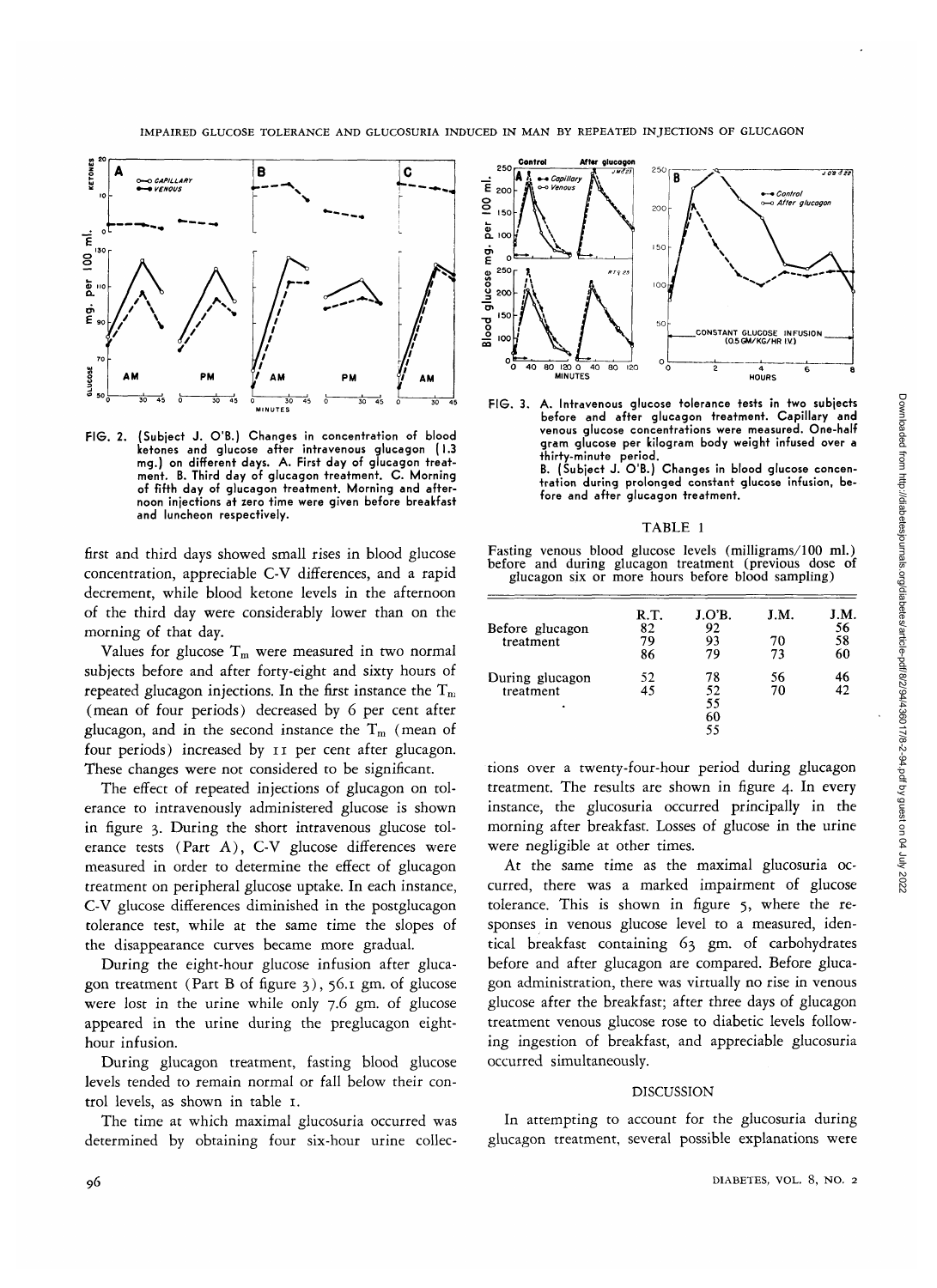Downloaded from http://diabetesjournals.org/diabetes/article-pdf/8/2/94/436017/8-2-94.pdf by guest on 04 July 2022

Downloaded from http://diabetesjournals.org/diabetes/article-pdf/8/2/94/436017/8-2-94.pdf by guest on 04 July 2022



FIG. 2. (Subject J. O'B.) Changes in concentration of blood ketones and glucose after intravenous glucagon (1.3 ment. B. Third day of glucagon treatment. C. Morning<br>of fifth day of glucagon treatment. Morning and after-<br>noon injections at zero time were given before breakfast<br>and luncheon respectively.

first and third days showed small rises in blood glucose concentration, appreciable C-V differences, and a rapid decrement, while blood ketone levels in the afternoon of the third day were considerably lower than on the morning of that day.

Values for glucose  $T_m$  were measured in two normal subjects before and after forty-eight and sixty hours of repeated glucagon injections. In the first instance the  $T_m$ (mean of four periods) decreased by 6 per cent after glucagon, and in the second instance the  $T_m$  (mean of four periods) increased by 11 per cent after glucagon. These changes were not considered to be significant.

The effect of repeated injections of glucagon on tolerance to intravenously administered glucose is shown in figure 3. During the short intravenous glucose tolerance tests (Part A), C-V glucose differences were measured in order to determine the effect of glucagon treatment on peripheral glucose uptake. In each instance, C-V glucose differences diminished in the postglucagon tolerance test, while at the same time the slopes of the disappearance curves became more gradual.

During the eight-hour glucose infusion after glucagon treatment (Part B of figure 3), 56.1 gm. of glucose were lost in the urine while only 7.6 gm. of glucose appeared in the urine during the preglucagon eighthour infusion.

During glucagon treatment, fasting blood glucose levels tended to remain normal or fall below their control levels, as shown in table 1.

The time at which maximal glucosuria occurred was determined by obtaining four six-hour urine collec-



FIG. 3. A. Intravenous glucose tolerance tests in two subjects before and after glucagon treatment. Capillary and venous glucose concentrations were measured. One-half gram glucose per kilogram body weight infused over a<br>thirty-minute period.<br>B. (Subject J. O'B.) Changes in blood glucose concen-

tration during prolonged constant glucose infusion, be-<br>fore and after glucagon treatment.

TABLE 1

Fasting venous blood glucose levels (milligrams/100 ml.) before and during glucagon treatment (previous dose of glucagon six or more hours before blood sampling)

| Before glucagon<br>treatment      | R.T.<br>82<br>79<br>86 | J.O'B.<br>92<br>93<br>79   | J.M.<br>70<br>73 | J.M.<br>56<br>58<br>60 |
|-----------------------------------|------------------------|----------------------------|------------------|------------------------|
| During glucagon<br>treatment<br>٠ | 52<br>45               | 78<br>52<br>55<br>60<br>55 | 56<br>70         | 46<br>42               |

tions over a twenty-four-hour period during glucagon treatment. The results are shown in figure 4. In every instance, the glucosuria occurred principally in the morning after breakfast. Losses of glucose in the urine were negligible at other times.

At the same time as the maximal glucosuria occurred, there was a marked impairment of glucose tolerance. This is shown in figure 5, where the responses in venous glucose level to a measured, identical breakfast containing 63 gm. of carbohydrates before and after glucagon are compared. Before glucagon administration, there was virtually no rise in venous glucose after the breakfast; after three days of glucagon treatment venous glucose rose to diabetic levels following ingestion of breakfast, and appreciable glucosuria occurred simultaneously.

#### DISCUSSION

In attempting to account for the glucosuria during glucagon treatment, several possible explanations were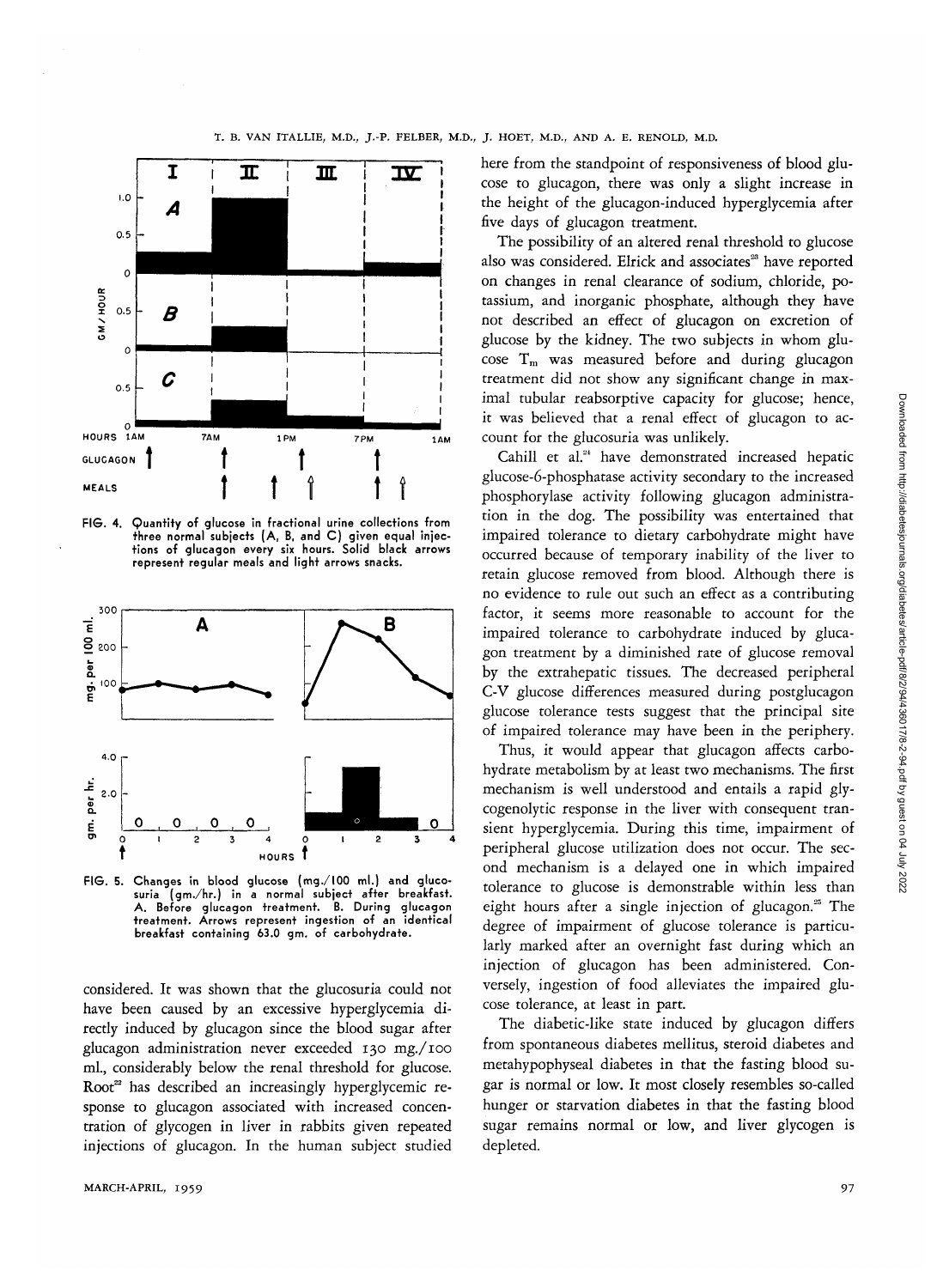

FIG. 4. Quantify of glucose in fractional urine collections from three normal subjects (A, B, and C) given equal injections of glucagon every six hours. Solid black arrows represent regular meals and light arrows snacks.



FIG. 5. Changes in blood glucose (mg./100 ml.) and gluco-<br>suria (gm./hr.) in a normal subject after breakfast.<br>A. Before glucagon treatment. B. During glucagon<br>treatment. Arrows represent ingestion of an identical breakfast containing 63.0 gm. of carbohydrate.

considered. It was shown that the glucosuria could not have been caused by an excessive hyperglycemia directly induced by glucagon since the blood sugar after glucagon administration never exceeded 130 mg./ioo ml., considerably below the renal threshold for glucose. Root<sup>22</sup> has described an increasingly hyperglycemic response to glucagon associated with increased concentration of glycogen in liver in rabbits given repeated injections of glucagon. In the human subject studied here from the standpoint of responsiveness of blood glucose to glucagon, there was only a slight increase in the height of the glucagon-induced hyperglycemia after five days of glucagon treatment.

The possibility of an altered renal threshold to glucose also was considered. Elrick and associates<sup>23</sup> have reported on changes in renal clearance of sodium, chloride, potassium, and inorganic phosphate, although they have not described an effect of glucagon on excretion of glucose by the kidney. The two subjects in whom glu- $\cos \theta$  T<sub>m</sub> was measured before and during glucagon treatment did not show any significant change in maximal tubular reabsorptive capacity for glucose; hence, it was believed that a renal effect of glucagon to account for the glucosuria was unlikely.

Cahill et al.<sup>24</sup> have demonstrated increased hepatic glucose-6-phosphatase activity secondary to the increased phosphorylase activity following glucagon administration in the dog. The possibility was entertained that impaired tolerance to dietary carbohydrate might have occurred because of temporary inability of the liver to retain glucose removed from blood. Although there is no evidence to rule out such an effect as a contributing factor, *it* seems more reasonable to account for the impaired tolerance to carbohydrate induced by glucagon treatment by a diminished rate of glucose removal by the extrahepatic tissues. The decreased peripheral C-V glucose differences measured during postglucagon glucose tolerance tests suggest that the principal site of impaired tolerance may have been in the periphery.

Thus, *it* would appear that glucagon affects carbohydrate metabolism by at least two mechanisms. The first mechanism is well understood and entails a rapid glycogenolytic response in the liver with consequent transient hyperglycemia. During this time, impairment of peripheral glucose utilization does not occur. The second mechanism is a delayed one in which impaired tolerance to glucose is demonstrable within less than eight hours after a single injection of glucagon.<sup>25</sup> The degree of impairment of glucose tolerance is particularly marked after an overnight fast during which an injection of glucagon has been administered. Conversely, ingestion of food alleviates the impaired glucose tolerance, at least in part.

The diabetic-like state induced by glucagon differs from spontaneous diabetes mellitus, steroid diabetes and metahypophyseal diabetes in that the fasting blood sugar is normal or low. It most closely resembles so-called hunger or starvation diabetes in that the fasting blood sugar remains normal or low, and liver glycogen is depleted.

Downloaded from http://diabetesjournals.org/diabetes/article-pdf/8/2/94/436017/8-2-94.pdf by guest on 04 July 2022

Downloaded from http://diabetesjournals.org/diabetes/article-pdf/8/2/94/436017/8-2-94.pdf by guest on 04 July 2022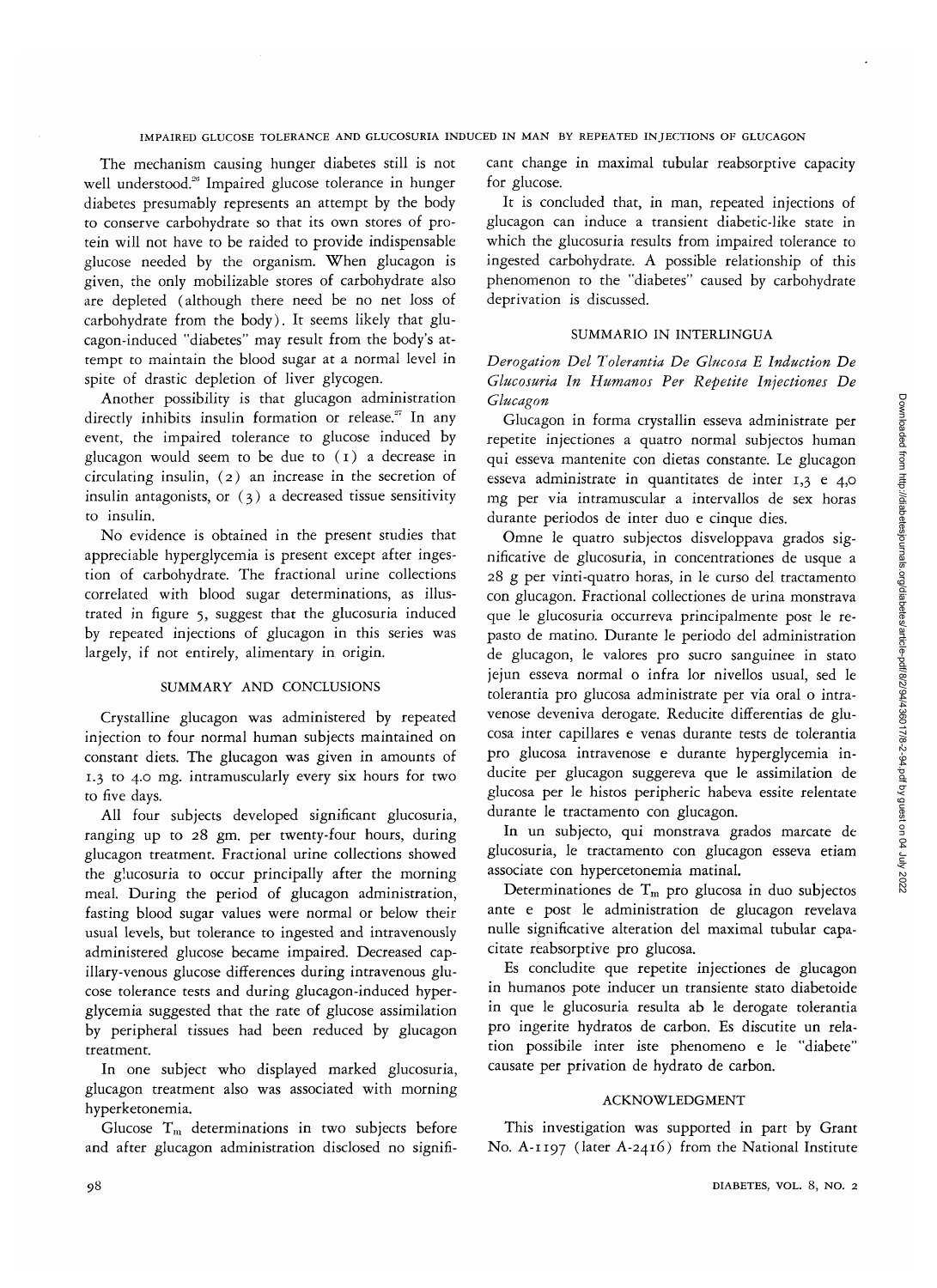The mechanism causing hunger diabetes still is not well understood.<sup>26</sup> Impaired glucose tolerance in hunger diabetes presumably represents an attempt by the body to conserve carbohydrate so that its own stores of protein will not have to be raided to provide indispensable glucose needed by the organism. When glucagon is given, the only mobilizable stores of carbohydrate also are depleted (although there need be no net loss of carbohydrate from the body). It seems likely that glucagon-induced "diabetes" may result from the body's attempt to maintain the blood sugar at a normal level in spite of drastic depletion of liver glycogen.

Another possibility is that glucagon administration directly inhibits insulin formation or release.<sup>27</sup> In any event, the impaired tolerance to glucose induced by glucagon would seem to be due to  $(1)$  a decrease in circulating insulin, (2) an increase in the secretion of insulin antagonists, or (3) a decreased tissue sensitivity to insulin.

No evidence is obtained in the present studies that appreciable hyperglycemia is present except after ingestion of carbohydrate. The fractional urine collections correlated with blood sugar determinations, as illustrated in figure 5, suggest that the glucosuria induced by repeated injections of glucagon in this series was largely, if not entirely, alimentary in origin.

## SUMMARY AND CONCLUSIONS

Crystalline glucagon was administered by repeated injection to four normal human subjects maintained on constant diets. The glucagon was given in amounts of 1.3 to 4.0 mg. intramuscularly every six hours for two to five days.

All four subjects developed significant glucosuria, ranging up to 28 gm. per twenty-four hours, during glucagon treatment. Fractional urine collections showed the glucosuria to occur principally after the morning meal. During the period of glucagon administration, fasting blood sugar values were normal or below their usual levels, but tolerance to ingested and intravenously administered glucose became impaired. Decreased capillary-venous glucose differences during intravenous glucose tolerance tests and during glucagon-induced hyperglycemia suggested that the rate of glucose assimilation by peripheral tissues had been reduced by glucagon treatment.

In one subject who displayed marked glucosuria, glucagon treatment also was associated with morning hyperketonemia.

Glucose  $T_m$  determinations in two subjects before and after glucagon administration disclosed no significant change in maximal tubular reabsorptive capacity for glucose.

It is concluded that, in man, repeated injections of glucagon can induce a transient diabetic-like state in which the glucosuria results from impaired tolerance to ingested carbohydrate. A possible relationship of this phenomenon to the "diabetes" caused by carbohydrate deprivation is discussed.

# SUMMARIO IN INTERLINGUA

*Derogation Del Tolerantia De Glucosa E Induction De Glucosuria In Humanos Per Repetite Injectiones De Glucagon*

Glucagon in forma crystallin esseva administrate per repetite injectiones a quatro normal subjectos human qui esseva mantenite con dietas constante. Le glucagon esseva administrate in quantitates de inter 1,3 e 4,0 mg per via intramuscular a intervallos de sex horas durante periodos de inter duo e cinque dies.

Omne le quatro subjectos disveloppava grados significative de glucosuria, in concentrationes de usque a 28 g per vinti-quatro horas, in le curso del tractamento con glucagon. Fractional collectiones de urina monstrava que le glucosuria occurreva principalmente post le repasto de matino. Durante le periodo del administration de glucagon, le valores pro sucro sanguinee in stato jejun esseva normal o infra lor nivellos usual, sed le tolerantia pro glucosa administrate per via oral o intravenose deveniva derogate. Reducite differentias de glucosa inter capillares e venas durante tests de tolerantia pro glucosa intravenose e durante hyperglycemia inducite per glucagon suggereva que le assimilation de glucosa per le histos peripheric habeva essite relentate durante le tractamento con glucagon.

In un subjecto, qui monstrava grados marcate de glucosuria, le tractamento con glucagon esseva etiam associate con hypercetonemia matinal.

Determinationes de  $T_m$  pro glucosa in duo subjectos ante e post le administration de glucagon revelava nulle significative alteration del maximal tubular capacitate reabsorptive pro glucosa.

Es concludite que repetite injectiones de glucagon in humanos pote inducer un transiente stato diabetoide in que le glucosuria resulta ab le derogate tolerantia pro ingerite hydratos de carbon. Es discutite un relation possibile inter iste phenomeno e le "diabete" causate per privation de hydrato de carbon.

# ACKNOWLEDGMENT

This investigation was supported in part by Grant No. A-1197 (later A-2416) from the National Institute